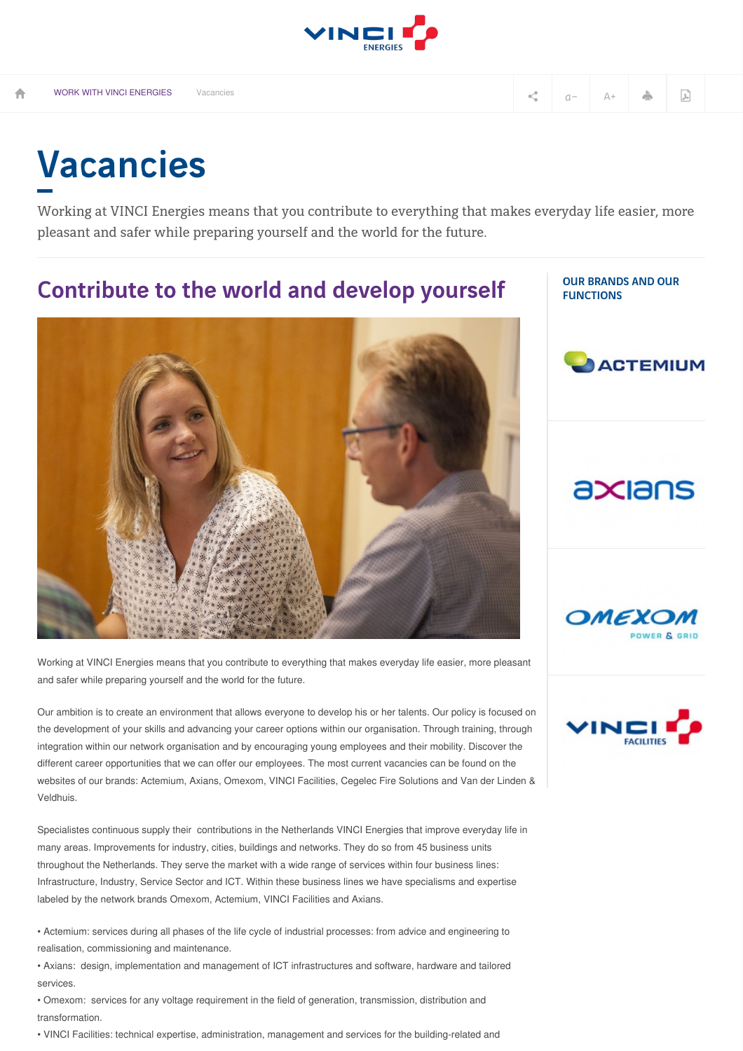

OUR BRANDS AND OUR

**ACTEMIUM** 

**FUNCTIONS** 

## Vacancies

Working at VINCI Energies means that you contribute to everything that makes everyday life easier, more pleasant and safer while preparing yourself and the world for the future.

## Contribute to the world and develop yourself



Working at VINCI Energies means that you contribute to everything that makes everyday life easier, more pleasant and safer while preparing yourself and the world for the future.

Our ambition is to create an environment that allows everyone to develop his or her talents. Our policy is focused on the development of your skills and advancing your career options within our organisation. Through training, through integration within our network organisation and by encouraging young employees and their mobility. Discover the different career opportunities that we can offer our employees. The most current vacancies can be found on the websites of our brands: Actemium, Axians, Omexom, VINCI Facilities, Cegelec Fire Solutions and Van der Linden & Veldhuis.

Specialistes continuous supply their contributions in the Netherlands VINCI Energies that improve everyday life in many areas. Improvements for industry, cities, buildings and networks. They do so from 45 business units throughout the Netherlands. They serve the market with a wide range of services within four business lines: Infrastructure, Industry, Service Sector and ICT. Within these business lines we have specialisms and expertise labeled by the network brands Omexom, Actemium, VINCI Facilities and Axians.

• Actemium: services during all phases of the life cycle of industrial processes: from advice and engineering to realisation, commissioning and maintenance.

• Axians: design, implementation and management of ICT infrastructures and software, hardware and tailored services.

• Omexom: services for any voltage requirement in the field of generation, transmission, distribution and transformation.

• VINCI Facilities: technical expertise, administration, management and services for the building-related and